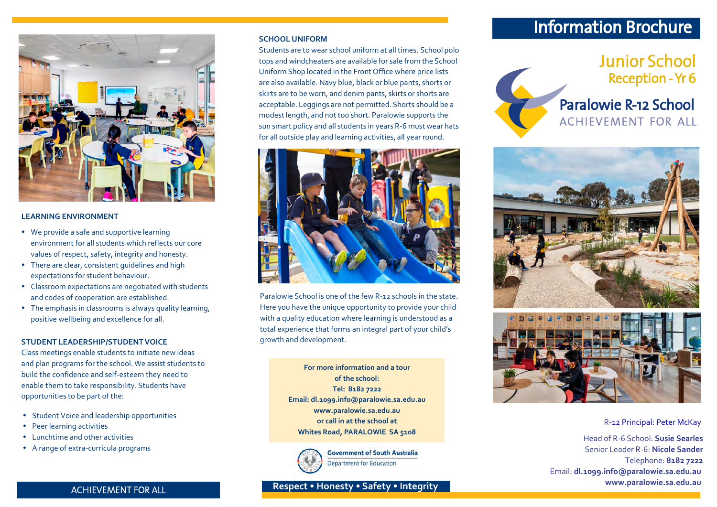# Information Brochure



### **LEARNING ENVIRONMENT**

- We provide a safe and supportive learning environment for all students which reflects our core values of respect, safety, integrity and honesty.
- There are clear, consistent guidelines and high expectations for student behaviour.
- Classroom expectations are negotiated with students and codes of cooperation are established.
- The emphasis in classrooms is always quality learning, positive wellbeing and excellence for all.

### **STUDENT LEADERSHIP/STUDENT VOICE**

Class meetings enable students to initiate new ideas and plan programs for the school. We assist students to build the confidence and self-esteem they need to enable them to take responsibility. Students have opportunities to be part of the:

- Student Voice and leadership opportunities
- Peer learning activities
- Lunchtime and other activities
- A range of extra-curricula programs

#### **SCHOOL UNIFORM**

Students are to wear school uniform at all times. School polo tops and windcheaters are available for sale from the School Uniform Shop located in the Front Office where price lists are also available.Navy blue, black or blue pants, shorts or skirts are to be worn, and denim pants, skirts or shorts are acceptable. Leggings are not permitted. Shorts should be a modest length, and not too short. Paralowie supports the sun smart policy and all students in years R-6 must wear hats for all outside play and learning activities, all year round.



Paralowie School is one of the few R-12 schools in the state. Here you have the unique opportunity to provide your child with a quality education where learning is understood as a total experience that forms an integral part of your child's growth and development.

> **For more information and a tour of the school: Tel: 8182 7222 Email: dl.1099.info@paralowie.sa.edu.au www.paralowie.sa.edu.au or call in at the school at Whites Road, PARALOWIE SA 5108**



**Government of South Australia Department for Education** 

### ACHIEVEMENT FOR ALL **Respect • Honesty • S afety • Integrity**

### Junior School Reception - Yr 6







### R-12 Principal: Peter McKay

Head of R-6 School: **Susie Searles** Senior Leader R-6: **Nicole Sander** Telephone: **8182 7222** Email: **dl.1099.info@paralowie.sa.edu.au www.paralowie.sa.edu.au**